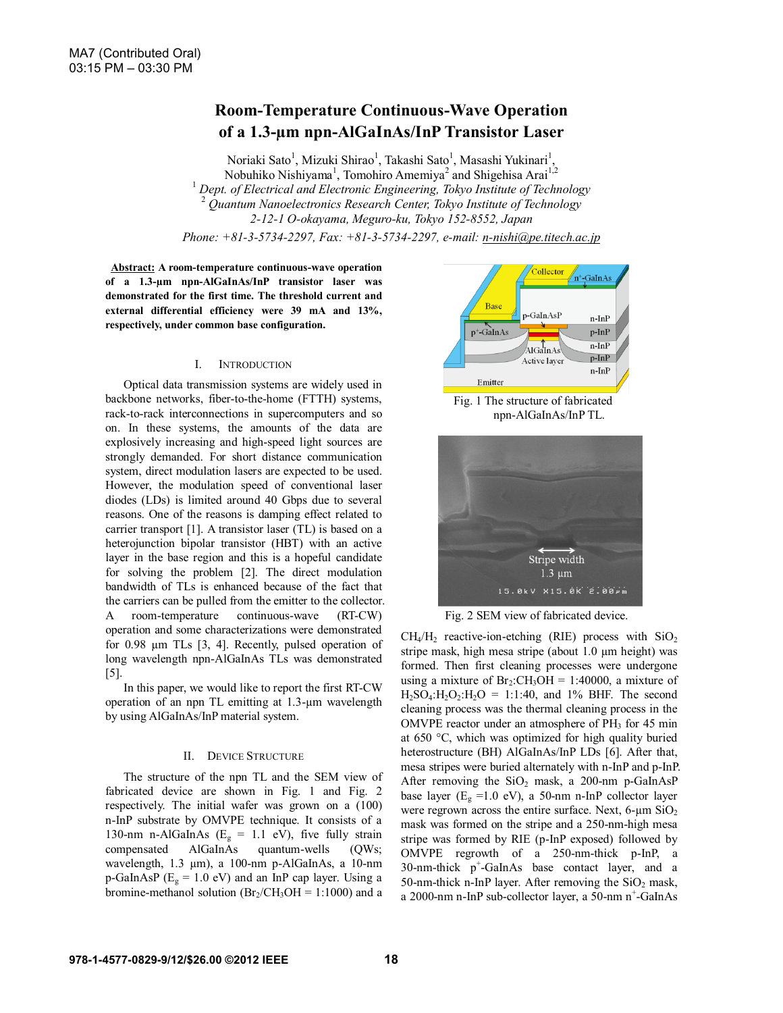# **Room-Temperature Continuous-Wave Operation of a 1.3-µm npn-AlGaInAs/InP Transistor Laser**

Noriaki Sato<sup>1</sup>, Mizuki Shirao<sup>1</sup>, Takashi Sato<sup>1</sup>, Masashi Yukinari<sup>1</sup>, Nobuhiko Nishiyama<sup>1</sup>, Tomohiro Amemiya<sup>2</sup> and Shigehisa Arai<sup>1,2</sup> <sup>1</sup> *Dept. of Electrical and Electronic Engineering, Tokyo Institute of Technology* <sup>2</sup> *Quantum Nanoelectronics Research Center, Tokyo Institute of Technology 2-12-1 O-okayama, Meguro-ku, Tokyo 152-8552, Japan*

*Phone: +81-3-5734-2297, Fax: +81-3-5734-2297, e-mail: n-nishi@pe.titech.ac.jp*

**Abstract: A room-temperature continuous-wave operation of a 1.3-µm npn-AlGaInAs/InP transistor laser was demonstrated for the first time. The threshold current and external differential efficiency were 39 mA and 13%, respectively, under common base configuration.**

## I. INTRODUCTION

Optical data transmission systems are widely used in backbone networks, fiber-to-the-home (FTTH) systems, rack-to-rack interconnections in supercomputers and so on. In these systems, the amounts of the data are explosively increasing and high-speed light sources are strongly demanded. For short distance communication system, direct modulation lasers are expected to be used. However, the modulation speed of conventional laser diodes (LDs) is limited around 40 Gbps due to several reasons. One of the reasons is damping effect related to carrier transport [1]. A transistor laser (TL) is based on a heterojunction bipolar transistor (HBT) with an active layer in the base region and this is a hopeful candidate for solving the problem [2]. The direct modulation bandwidth of TLs is enhanced because of the fact that the carriers can be pulled from the emitter to the collector. A room-temperature continuous-wave (RT-CW) operation and some characterizations were demonstrated for 0.98 µm TLs [3, 4]. Recently, pulsed operation of long wavelength npn-AlGaInAs TLs was demonstrated [5].

In this paper, we would like to report the first RT-CW operation of an npn TL emitting at 1.3-µm wavelength by using AlGaInAs/InP material system.

# II. DEVICE STRUCTURE

The structure of the npn TL and the SEM view of fabricated device are shown in Fig. 1 and Fig. 2 respectively. The initial wafer was grown on a (100) n-InP substrate by OMVPE technique. It consists of a 130-nm n-AlGaInAs ( $E<sub>g</sub> = 1.1$  eV), five fully strain compensated AlGaInAs quantum-wells (QWs; wavelength, 1.3 µm), a 100-nm p-AlGaInAs, a 10-nm p-GaInAsP ( $E_g = 1.0$  eV) and an InP cap layer. Using a bromine-methanol solution ( $Br_2/CH_3OH = 1:1000$ ) and a



Fig. 1 The structure of fabricated npn-AlGaInAs/InP TL.



Fig. 2 SEM view of fabricated device.

 $CH_4/H_2$  reactive-ion-etching (RIE) process with  $SiO_2$ stripe mask, high mesa stripe (about 1.0 µm height) was formed. Then first cleaning processes were undergone using a mixture of  $Br_2:CH_3OH = 1:40000$ , a mixture of  $H_2SO_4:H_2O_2:H_2O = 1:1:40$ , and 1% BHF. The second cleaning process was the thermal cleaning process in the OMVPE reactor under an atmosphere of PH<sub>3</sub> for 45 min at 650 °C, which was optimized for high quality buried heterostructure (BH) AlGaInAs/InP LDs [6]. After that, mesa stripes were buried alternately with n-InP and p-InP. After removing the  $SiO<sub>2</sub>$  mask, a 200-nm p-GaInAsP base layer ( $E_g = 1.0$  eV), a 50-nm n-InP collector layer were regrown across the entire surface. Next,  $6\text{-}\mu\text{m }\text{SiO}_2$ mask was formed on the stripe and a 250-nm-high mesa stripe was formed by RIE (p-InP exposed) followed by OMVPE regrowth of a 250-nm-thick p-InP, a  $30$ -nm-thick  $p^+$ -GaInAs base contact layer, and a 50-nm-thick n-InP layer. After removing the  $SiO<sub>2</sub>$  mask, a 2000-nm n-InP sub-collector layer, a 50-nm n<sup>+</sup>-GaInAs